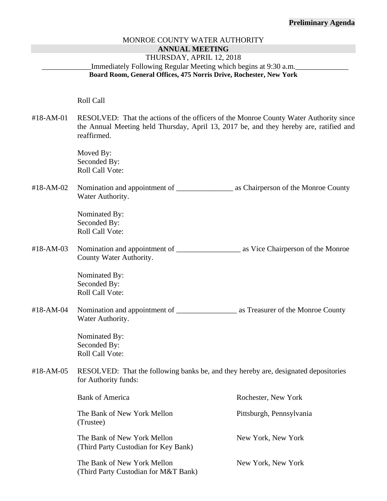#### **Preliminary Agenda**

#### MONROE COUNTY WATER AUTHORITY **ANNUAL MEETING**

#### THURSDAY, APRIL 12, 2018

## Immediately Following Regular Meeting which begins at 9:30 a.m. **Board Room, General Offices, 475 Norris Drive, Rochester, New York**

#### Roll Call

#18-AM-01 RESOLVED: That the actions of the officers of the Monroe County Water Authority since the Annual Meeting held Thursday, April 13, 2017 be, and they hereby are, ratified and reaffirmed.

> Moved By: Seconded By: Roll Call Vote:

#18-AM-02 Nomination and appointment of \_\_\_\_\_\_\_\_\_\_\_\_\_\_\_ as Chairperson of the Monroe County Water Authority.

> Nominated By: Seconded By: Roll Call Vote:

#18-AM-03 Nomination and appointment of \_\_\_\_\_\_\_\_\_\_\_\_\_\_\_\_\_ as Vice Chairperson of the Monroe County Water Authority.

> Nominated By: Seconded By: Roll Call Vote:

#18-AM-04 Nomination and appointment of \_\_\_\_\_\_\_\_\_\_\_\_\_\_\_\_ as Treasurer of the Monroe County Water Authority.

> Nominated By: Seconded By: Roll Call Vote:

#18-AM-05 RESOLVED: That the following banks be, and they hereby are, designated depositories for Authority funds:

|  | <b>Bank of America</b>                                              | Rochester, New York      |
|--|---------------------------------------------------------------------|--------------------------|
|  | The Bank of New York Mellon<br>(Trustee)                            | Pittsburgh, Pennsylvania |
|  | The Bank of New York Mellon<br>(Third Party Custodian for Key Bank) | New York, New York       |
|  | The Bank of New York Mellon<br>(Third Party Custodian for M&T Bank) | New York, New York       |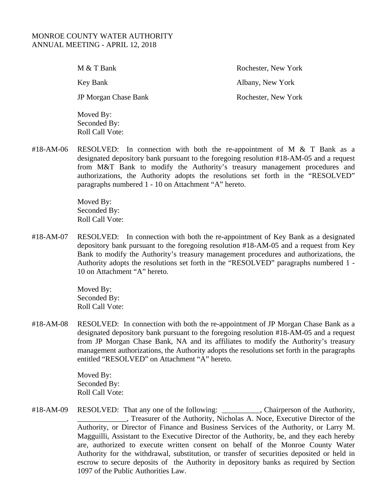M & T Bank Rochester, New York Key Bank Albany, New York JP Morgan Chase Bank Rochester, New York Moved By:

#18-AM-06 RESOLVED: In connection with both the re-appointment of M & T Bank as a designated depository bank pursuant to the foregoing resolution #18-AM-05 and a request from M&T Bank to modify the Authority's treasury management procedures and authorizations, the Authority adopts the resolutions set forth in the "RESOLVED" paragraphs numbered 1 - 10 on Attachment "A" hereto.

> Moved By: Seconded By: Roll Call Vote:

 Seconded By: Roll Call Vote:

#18-AM-07 RESOLVED: In connection with both the re-appointment of Key Bank as a designated depository bank pursuant to the foregoing resolution #18-AM-05 and a request from Key Bank to modify the Authority's treasury management procedures and authorizations, the Authority adopts the resolutions set forth in the "RESOLVED" paragraphs numbered 1 - 10 on Attachment "A" hereto.

> Moved By: Seconded By: Roll Call Vote:

#18-AM-08 RESOLVED: In connection with both the re-appointment of JP Morgan Chase Bank as a designated depository bank pursuant to the foregoing resolution #18-AM-05 and a request from JP Morgan Chase Bank, NA and its affiliates to modify the Authority's treasury management authorizations, the Authority adopts the resolutions set forth in the paragraphs entitled "RESOLVED" on Attachment "A" hereto.

> Moved By: Seconded By: Roll Call Vote:

#18-AM-09 RESOLVED: That any one of the following: \_\_\_\_\_\_\_\_, Chairperson of the Authority, \_\_\_\_\_\_\_\_\_\_\_\_\_, Treasurer of the Authority, Nicholas A. Noce, Executive Director of the Authority, or Director of Finance and Business Services of the Authority, or Larry M. Magguilli, Assistant to the Executive Director of the Authority, be, and they each hereby are, authorized to execute written consent on behalf of the Monroe County Water Authority for the withdrawal, substitution, or transfer of securities deposited or held in escrow to secure deposits of the Authority in depository banks as required by Section 1097 of the Public Authorities Law.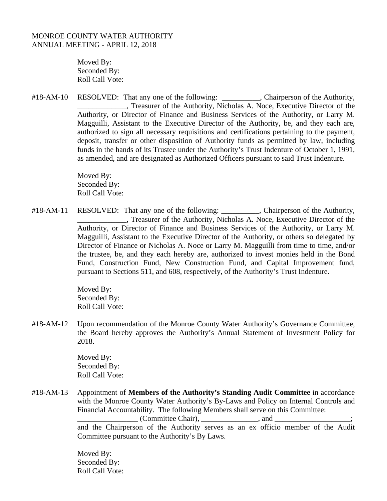Moved By: Seconded By: Roll Call Vote:

#18-AM-10 RESOLVED: That any one of the following: \_\_\_\_\_\_\_\_\_, Chairperson of the Authority, \_\_\_\_\_\_\_\_\_\_\_\_\_, Treasurer of the Authority, Nicholas A. Noce, Executive Director of the Authority, or Director of Finance and Business Services of the Authority, or Larry M. Magguilli, Assistant to the Executive Director of the Authority, be, and they each are, authorized to sign all necessary requisitions and certifications pertaining to the payment, deposit, transfer or other disposition of Authority funds as permitted by law, including funds in the hands of its Trustee under the Authority's Trust Indenture of October 1, 1991, as amended, and are designated as Authorized Officers pursuant to said Trust Indenture.

> Moved By: Seconded By: Roll Call Vote:

#18-AM-11 RESOLVED: That any one of the following: \_\_\_\_\_\_\_\_, Chairperson of the Authority, \_\_\_\_\_\_\_\_\_\_\_\_\_, Treasurer of the Authority, Nicholas A. Noce, Executive Director of the Authority, or Director of Finance and Business Services of the Authority, or Larry M. Magguilli, Assistant to the Executive Director of the Authority, or others so delegated by Director of Finance or Nicholas A. Noce or Larry M. Magguilli from time to time, and/or the trustee, be, and they each hereby are, authorized to invest monies held in the Bond Fund, Construction Fund, New Construction Fund, and Capital Improvement fund, pursuant to Sections 511, and 608, respectively, of the Authority's Trust Indenture.

> Moved By: Seconded By: Roll Call Vote:

#18-AM-12 Upon recommendation of the Monroe County Water Authority's Governance Committee, the Board hereby approves the Authority's Annual Statement of Investment Policy for 2018.

> Moved By: Seconded By: Roll Call Vote:

#18-AM-13 Appointment of **Members of the Authority's Standing Audit Committee** in accordance with the Monroe County Water Authority's By-Laws and Policy on Internal Controls and Financial Accountability. The following Members shall serve on this Committee:

 $(Commentitee Chair), \_\_\_\_\_$ , and  $\_\_\_\_\_$ 

and the Chairperson of the Authority serves as an ex officio member of the Audit Committee pursuant to the Authority's By Laws.

Moved By: Seconded By: Roll Call Vote: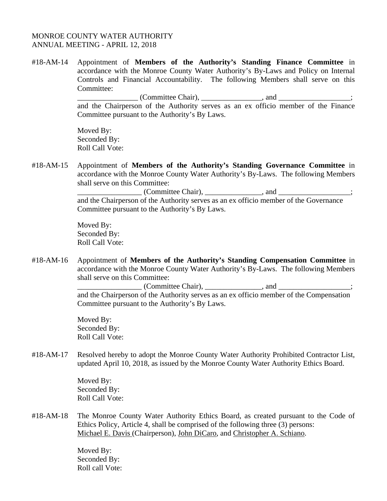#18-AM-14 Appointment of **Members of the Authority's Standing Finance Committee** in accordance with the Monroe County Water Authority's By-Laws and Policy on Internal Controls and Financial Accountability. The following Members shall serve on this Committee:

> $\blacksquare$  (Committee Chair),  $\blacksquare$ , and  $\blacksquare$ , and  $\blacksquare$ and the Chairperson of the Authority serves as an ex officio member of the Finance Committee pursuant to the Authority's By Laws.

Moved By: Seconded By: Roll Call Vote:

#18-AM-15 Appointment of **Members of the Authority's Standing Governance Committee** in accordance with the Monroe County Water Authority's By-Laws. The following Members shall serve on this Committee:

\_\_\_\_\_\_\_\_\_\_\_\_\_\_\_\_\_ (Committee Chair), \_\_\_\_\_\_\_\_\_\_\_\_\_\_\_, and \_\_\_\_\_\_\_\_\_\_\_\_\_\_\_\_\_\_\_; and the Chairperson of the Authority serves as an ex officio member of the Governance Committee pursuant to the Authority's By Laws.

Moved By: Seconded By: Roll Call Vote:

#18-AM-16 Appointment of **Members of the Authority's Standing Compensation Committee** in accordance with the Monroe County Water Authority's By-Laws. The following Members shall serve on this Committee:

> (Committee Chair), \_\_\_\_\_\_\_\_\_\_\_\_\_\_\_, and \_\_\_\_\_\_\_\_\_\_\_\_\_\_\_; and the Chairperson of the Authority serves as an ex officio member of the Compensation Committee pursuant to the Authority's By Laws.

Moved By: Seconded By: Roll Call Vote:

#18-AM-17 Resolved hereby to adopt the Monroe County Water Authority Prohibited Contractor List, updated April 10, 2018, as issued by the Monroe County Water Authority Ethics Board.

> Moved By: Seconded By: Roll Call Vote:

#18-AM-18 The Monroe County Water Authority Ethics Board, as created pursuant to the Code of Ethics Policy, Article 4, shall be comprised of the following three (3) persons: Michael E. Davis (Chairperson), John DiCaro, and Christopher A. Schiano.

> Moved By: Seconded By: Roll call Vote: